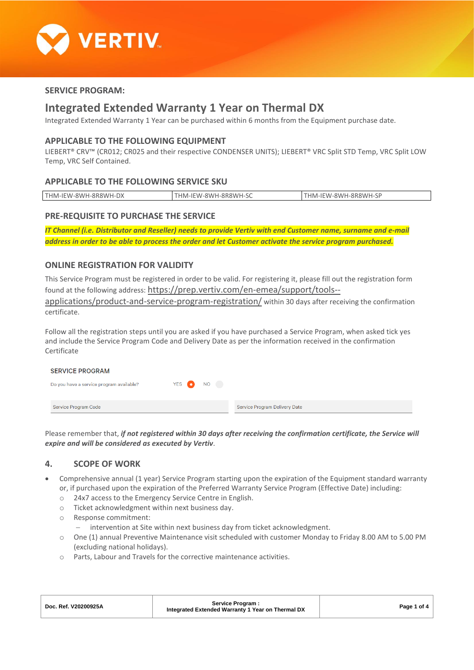

## **SERVICE PROGRAM:**

## **Integrated Extended Warranty 1 Year on Thermal DX**

Integrated Extended Warranty 1 Year can be purchased within 6 months from the Equipment purchase date.

#### **APPLICABLE TO THE FOLLOWING EQUIPMENT**

LIEBERT® CRV™ (CR012; CR025 and their respective CONDENSER UNITS); LIEBERT® VRC Split STD Temp, VRC Split LOW Temp, VRC Self Contained.

## **APPLICABLE TO THE FOLLOWING SERVICE SKU**

| THM-IEW-8WH-8R8WH-L<br>ັບ∧ | IHM-IEW-8WH-8R8WH-SC | THM-IFW-8WH-8R8WH-<br>ا ب |
|----------------------------|----------------------|---------------------------|
|                            |                      |                           |

## **PRE-REQUISITE TO PURCHASE THE SERVICE**

*IT Channel (i.e. Distributor and Reseller) needs to provide Vertiv with end Customer name, surname and e-mail address in order to be able to process the order and let Customer activate the service program purchased.*

## **ONLINE REGISTRATION FOR VALIDITY**

This Service Program must be registered in order to be valid. For registering it, please fill out the registration form found at the following address: [https://prep.vertiv.com/en-emea/support/tools--](https://prep.vertiv.com/en-emea/support/tools--applications/product-and-service-program-registration/)

[applications/product-and-service-program-registration/](https://prep.vertiv.com/en-emea/support/tools--applications/product-and-service-program-registration/) within 30 days after receiving the confirmation certificate.

Follow all the registration steps until you are asked if you have purchased a Service Program, when asked tick yes and include the Service Program Code and Delivery Date as per the information received in the confirmation Certificate

| <b>SERVICE PROGRAM</b>                   |           |                               |
|------------------------------------------|-----------|-------------------------------|
| Do you have a service program available? | YES ON NO |                               |
|                                          |           |                               |
| Service Program Code                     |           | Service Program Delivery Date |

Please remember that, *if not registered within 30 days after receiving the confirmation certificate, the Service will expire and will be considered as executed by Vertiv*.

## **4. SCOPE OF WORK**

- Comprehensive annual (1 year) Service Program starting upon the expiration of the Equipment standard warranty or, if purchased upon the expiration of the Preferred Warranty Service Program (Effective Date) including:
	- o 24x7 access to the Emergency Service Centre in English.
	- o Ticket acknowledgment within next business day.
	- o Response commitment:
		- − intervention at Site within next business day from ticket acknowledgment.
	- o One (1) annual Preventive Maintenance visit scheduled with customer Monday to Friday 8.00 AM to 5.00 PM (excluding national holidays).
	- o Parts, Labour and Travels for the corrective maintenance activities.

| Doc. Ref. V20200925A | Service Program:<br>Integrated Extended Warranty 1 Year on Thermal DX | Page 1 of 4 |
|----------------------|-----------------------------------------------------------------------|-------------|
|                      |                                                                       |             |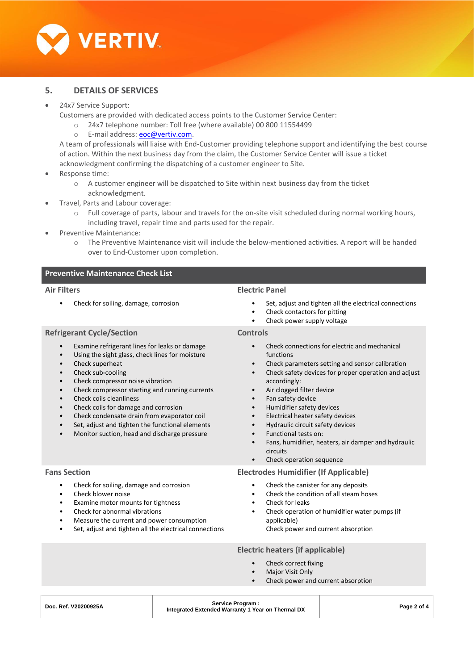

## **5. DETAILS OF SERVICES**

#### • 24x7 Service Support:

Customers are provided with dedicated access points to the Customer Service Center:

- o 24x7 telephone number: Toll free (where available) 00 800 11554499
- o E-mail address: [eoc@vertiv.com.](mailto:eoc@vertiv.com)

A team of professionals will liaise with End-Customer providing telephone support and identifying the best course of action. Within the next business day from the claim, the Customer Service Center will issue a ticket acknowledgment confirming the dispatching of a customer engineer to Site.

- Response time:
	- $\circ$  A customer engineer will be dispatched to Site within next business day from the ticket acknowledgment.
	- Travel, Parts and Labour coverage:
		- o Full coverage of parts, labour and travels for the on-site visit scheduled during normal working hours, including travel, repair time and parts used for the repair.
- Preventive Maintenance:
	- o The Preventive Maintenance visit will include the below-mentioned activities. A report will be handed over to End-Customer upon completion.

## **Preventive Maintenance Check List**

#### **Air Filters**

• Check for soiling, damage, corrosion

#### **Electric Panel**

**Controls**

- Set, adjust and tighten all the electrical connections
- Check contactors for pitting
- Check power supply voltage

## **Refrigerant Cycle/Section**

- Examine refrigerant lines for leaks or damage
- Using the sight glass, check lines for moisture
- Check superheat
- Check sub-cooling
- Check compressor noise vibration
- Check compressor starting and running currents
- Check coils cleanliness
- Check coils for damage and corrosion
- Check condensate drain from evaporator coil
- Set, adjust and tighten the functional elements
- Monitor suction, head and discharge pressure

#### **Fans Section**

- Check for soiling, damage and corrosion
- Check blower noise
- Examine motor mounts for tightness
- Check for abnormal vibrations
- Measure the current and power consumption
- Set, adjust and tighten all the electrical connections

# • Check connections for electric and mechanical

- functions
- Check parameters setting and sensor calibration
- Check safety devices for proper operation and adjust accordingly:
- Air clogged filter device
- Fan safety device
- Humidifier safety devices
- Electrical heater safety devices
- Hydraulic circuit safety devices
- Functional tests on:
- Fans, humidifier, heaters, air damper and hydraulic circuits
- Check operation sequence

#### **Electrodes Humidifier (If Applicable)**

- Check the canister for any deposits
- Check the condition of all steam hoses
- Check for leaks
- Check operation of humidifier water pumps (if applicable)
	- Check power and current absorption

#### **Electric heaters (if applicable)**

- Check correct fixing
	- **Major Visit Only**
	- Check power and current absorption

| Doc. Ref. V20200925A | Service Program:<br>Integrated Extended Warranty 1 Year on Thermal DX | Page 2 of 4 |
|----------------------|-----------------------------------------------------------------------|-------------|
|                      |                                                                       |             |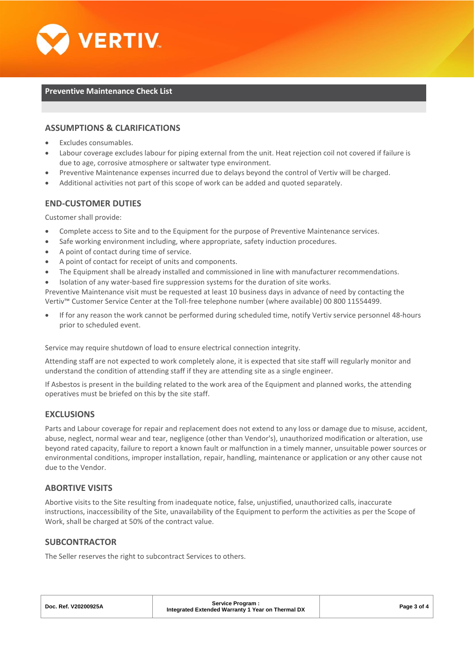

#### **Preventive Maintenance Check List**

## **ASSUMPTIONS & CLARIFICATIONS**

- Excludes consumables.
- Labour coverage excludes labour for piping external from the unit. Heat rejection coil not covered if failure is due to age, corrosive atmosphere or saltwater type environment.
- Preventive Maintenance expenses incurred due to delays beyond the control of Vertiv will be charged.
- Additional activities not part of this scope of work can be added and quoted separately.

## **END-CUSTOMER DUTIES**

Customer shall provide:

- Complete access to Site and to the Equipment for the purpose of Preventive Maintenance services.
- Safe working environment including, where appropriate, safety induction procedures.
- A point of contact during time of service.
- A point of contact for receipt of units and components.
- The Equipment shall be already installed and commissioned in line with manufacturer recommendations.
- Isolation of any water-based fire suppression systems for the duration of site works.

Preventive Maintenance visit must be requested at least 10 business days in advance of need by contacting the Vertiv™ Customer Service Center at the Toll-free telephone number (where available) 00 800 11554499.

• If for any reason the work cannot be performed during scheduled time, notify Vertiv service personnel 48-hours prior to scheduled event.

Service may require shutdown of load to ensure electrical connection integrity.

Attending staff are not expected to work completely alone, it is expected that site staff will regularly monitor and understand the condition of attending staff if they are attending site as a single engineer.

If Asbestos is present in the building related to the work area of the Equipment and planned works, the attending operatives must be briefed on this by the site staff.

## **EXCLUSIONS**

Parts and Labour coverage for repair and replacement does not extend to any loss or damage due to misuse, accident, abuse, neglect, normal wear and tear, negligence (other than Vendor's), unauthorized modification or alteration, use beyond rated capacity, failure to report a known fault or malfunction in a timely manner, unsuitable power sources or environmental conditions, improper installation, repair, handling, maintenance or application or any other cause not due to the Vendor.

## **ABORTIVE VISITS**

Abortive visits to the Site resulting from inadequate notice, false, unjustified, unauthorized calls, inaccurate instructions, inaccessibility of the Site, unavailability of the Equipment to perform the activities as per the Scope of Work, shall be charged at 50% of the contract value.

#### **SUBCONTRACTOR**

The Seller reserves the right to subcontract Services to others.

| Doc. Ref. V20200925A | Service Program:<br>Integrated Extended Warranty 1 Year on Thermal DX | Page 3 of 4 |
|----------------------|-----------------------------------------------------------------------|-------------|
|                      |                                                                       |             |